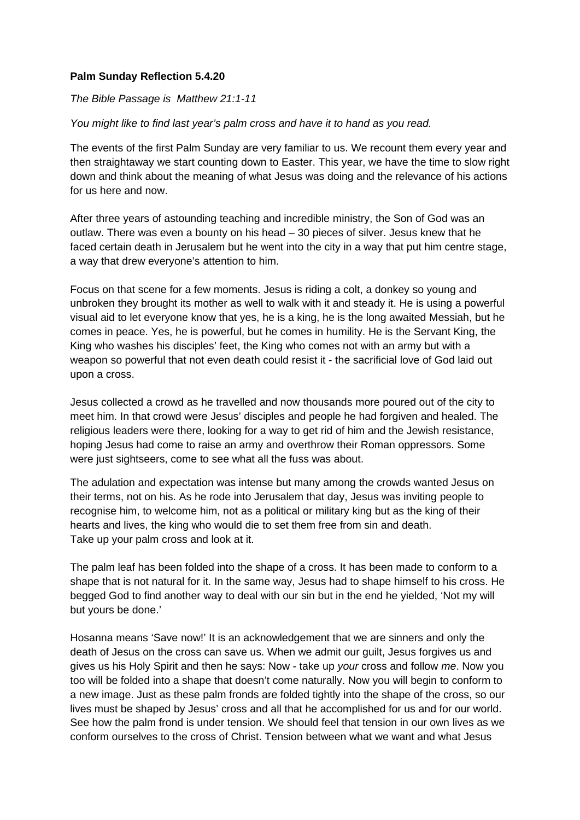## **Palm Sunday Reflection 5.4.20**

## *The Bible Passage is Matthew 21:1-11*

## *You might like to find last year's palm cross and have it to hand as you read.*

The events of the first Palm Sunday are very familiar to us. We recount them every year and then straightaway we start counting down to Easter. This year, we have the time to slow right down and think about the meaning of what Jesus was doing and the relevance of his actions for us here and now.

After three years of astounding teaching and incredible ministry, the Son of God was an outlaw. There was even a bounty on his head – 30 pieces of silver. Jesus knew that he faced certain death in Jerusalem but he went into the city in a way that put him centre stage, a way that drew everyone's attention to him.

Focus on that scene for a few moments. Jesus is riding a colt, a donkey so young and unbroken they brought its mother as well to walk with it and steady it. He is using a powerful visual aid to let everyone know that yes, he is a king, he is the long awaited Messiah, but he comes in peace. Yes, he is powerful, but he comes in humility. He is the Servant King, the King who washes his disciples' feet, the King who comes not with an army but with a weapon so powerful that not even death could resist it - the sacrificial love of God laid out upon a cross.

Jesus collected a crowd as he travelled and now thousands more poured out of the city to meet him. In that crowd were Jesus' disciples and people he had forgiven and healed. The religious leaders were there, looking for a way to get rid of him and the Jewish resistance, hoping Jesus had come to raise an army and overthrow their Roman oppressors. Some were just sightseers, come to see what all the fuss was about.

The adulation and expectation was intense but many among the crowds wanted Jesus on their terms, not on his. As he rode into Jerusalem that day, Jesus was inviting people to recognise him, to welcome him, not as a political or military king but as the king of their hearts and lives, the king who would die to set them free from sin and death. Take up your palm cross and look at it.

The palm leaf has been folded into the shape of a cross. It has been made to conform to a shape that is not natural for it. In the same way, Jesus had to shape himself to his cross. He begged God to find another way to deal with our sin but in the end he yielded, 'Not my will but yours be done.'

Hosanna means 'Save now!' It is an acknowledgement that we are sinners and only the death of Jesus on the cross can save us. When we admit our guilt, Jesus forgives us and gives us his Holy Spirit and then he says: Now - take up *your* cross and follow *me*. Now you too will be folded into a shape that doesn't come naturally. Now you will begin to conform to a new image. Just as these palm fronds are folded tightly into the shape of the cross, so our lives must be shaped by Jesus' cross and all that he accomplished for us and for our world. See how the palm frond is under tension. We should feel that tension in our own lives as we conform ourselves to the cross of Christ. Tension between what we want and what Jesus